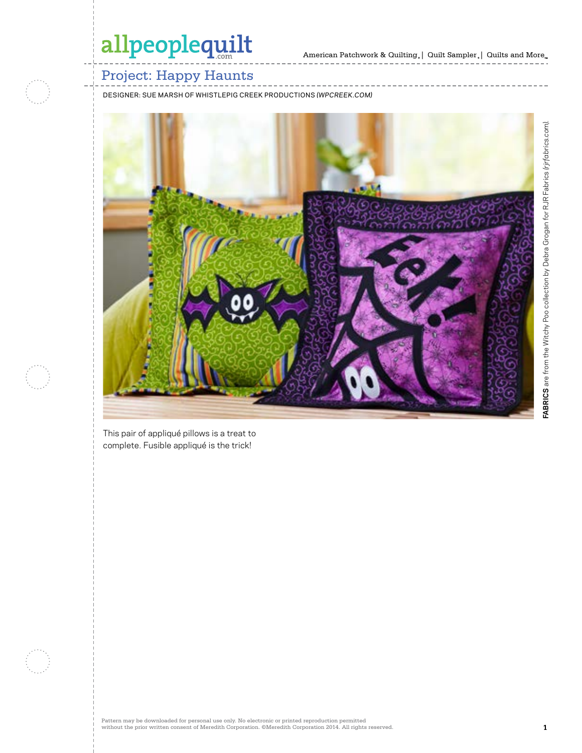

### Project: Happy Haunts

DESIGNER: SUE MARSH OF WHISTLEPIG CREEK PRODUCTIONS *(WPCREEK.COM)*



This pair of appliqué pillows is a treat to complete. Fusible appliqué is the trick!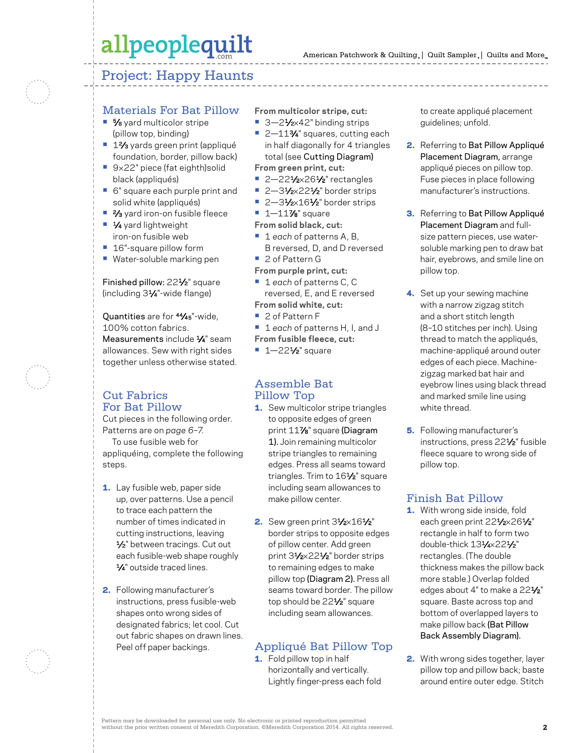### Project: Happy Haunts

#### Materials For Bat Pillow

- 5⁄8 yard multicolor stripe (pillow top, binding)
- **•** 12⁄3 yards green print (appliqué foundation, border, pillow back)
- **•** 9×22" piece (fat eighth)solid black (appliqués)
- **•** 6" square each purple print and solid white (appliqués)
- <sup>2</sup>⁄<sub>3</sub> yard iron-on fusible fleece
- **•** 1⁄4 yard lightweight iron-on fusible web
- **•** 16"-square pillow form
- **•** Water-soluble marking pen

Finished pillow: 221/2" square (including 31⁄4"-wide flange)

Quantities are for 44⁄45"-wide, 100% cotton fabrics. Measurements include  $\frac{1}{4}$ " seam allowances. Sew with right sides together unless otherwise stated.

#### Cut Fabrics For Bat Pillow

Cut pieces in the following order. Patterns are on *page 6–7.* To use fusible web for appliquéing, complete the following steps.

- 1. Lay fusible web, paper side up, over patterns. Use a pencil to trace each pattern the number of times indicated in cutting instructions, leaving 1/<sub>2</sub>" between tracings. Cut out each fusible-web shape roughly 1⁄4" outside traced lines.
- 2. Following manufacturer's instructions, press fusible-web shapes onto wrong sides of designated fabrics; let cool. Cut out fabric shapes on drawn lines. Peel off paper backings.

**From multicolor stripe, cut:**

- 3–21⁄<sub>2×42</sub>" binding strips
- 2-11<sup>3</sup>⁄4" squares, cutting each in half diagonally for 4 triangles total (see Cutting Diagram)
- **From green print, cut:**
- 2-221⁄2×261⁄2" rectangles
- 2-31⁄2×22<sup>1</sup>/<sub>2</sub>" border strips
- 2-31⁄2×161⁄2" border strips
- **•** 1—117⁄8" square
- **From solid black, cut:**
- **•** 1 *each* of patterns A, B, B reversed, D, and D reversed
- **•** 2 of Pattern G
- **From purple print, cut:**
- **•** 1 *each* of patterns C, C reversed, E, and E reversed **From solid white, cut:**
- **•** 2 of Pattern F
- **•** 1 *each* of patterns H, I, and J
- **From fusible fleece, cut:**
- **•** 1—221⁄2" square

#### Assemble Bat Pillow Top

- 1. Sew multicolor stripe triangles to opposite edges of green print 117⁄8" square (Diagram 1). Join remaining multicolor stripe triangles to remaining edges. Press all seams toward triangles. Trim to 161/2" square including seam allowances to make pillow center.
- 2. Sew green print  $3\frac{1}{2} \times 16\frac{1}{2}$ " border strips to opposite edges of pillow center. Add green print 31⁄2×221⁄2" border strips to remaining edges to make pillow top (Diagram 2). Press all seams toward border. The pillow top should be 22<sup>1/2</sup>" square including seam allowances.

### Appliqué Bat Pillow Top

1. Fold pillow top in half horizontally and vertically. Lightly finger-press each fold to create appliqué placement guidelines; unfold.

- 2. Referring to Bat Pillow Appliqué Placement Diagram, arrange appliqué pieces on pillow top. Fuse pieces in place following manufacturer's instructions.
- 3. Referring to Bat Pillow Appliqué Placement Diagram and fullsize pattern pieces, use watersoluble marking pen to draw bat hair, eyebrows, and smile line on pillow top.
- 4. Set up your sewing machine with a narrow zigzag stitch and a short stitch length (8–10 stitches per inch). Using thread to match the appliqués, machine-appliqué around outer edges of each piece. Machinezigzag marked bat hair and eyebrow lines using black thread and marked smile line using white thread.
- **5.** Following manufacturer's instructions, press 221⁄2" fusible fleece square to wrong side of pillow top.

#### Finish Bat Pillow

- 1. With wrong side inside, fold each green print 221/2×261/2" rectangle in half to form two double-thick 131⁄4×221⁄2" rectangles. (The double thickness makes the pillow back more stable.) Overlap folded edges about 4" to make a 22<sup>1/2"</sup> square. Baste across top and bottom of overlapped layers to make pillow back (Bat Pillow Back Assembly Diagram).
- 2. With wrong sides together, layer pillow top and pillow back; baste around entire outer edge. Stitch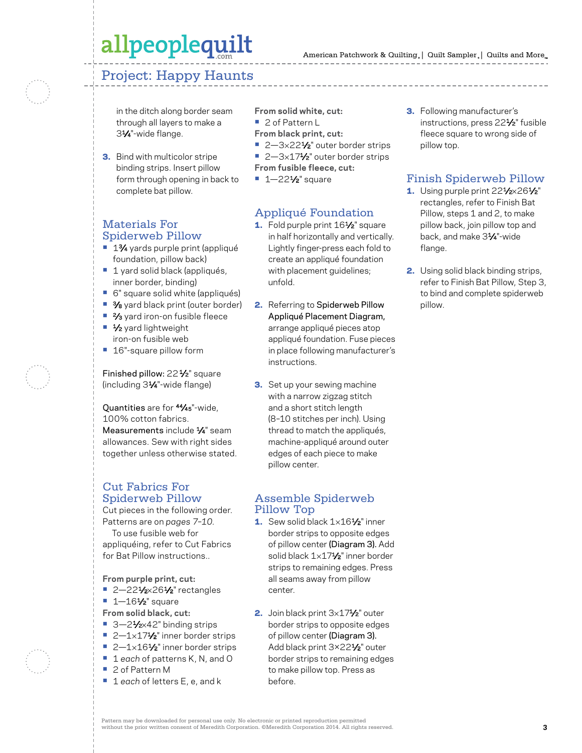### Project: Happy Haunts

in the ditch along border seam through all layers to make a 31⁄4"-wide flange.

**3.** Bind with multicolor stripe binding strips. Insert pillow form through opening in back to complete bat pillow.

#### Materials For Spiderweb Pillow

- 1<sup>3</sup>⁄4 yards purple print (appliqué foundation, pillow back)
- **•** 1 yard solid black (appliqués, inner border, binding)
- **•** 6" square solid white (appliqués)
- **•** 3⁄8 yard black print (outer border)
- <sup>2</sup>⁄<sub>3</sub> yard iron-on fusible fleece
- **•** 1⁄2 yard lightweight iron-on fusible web
- **•** 16"-square pillow form

Finished pillow: 22<sup>1</sup>/<sub>2</sub>" square (including 31⁄4"-wide flange)

Quantities are for 44⁄45"-wide, 100% cotton fabrics. Measurements include  $\frac{1}{4}$ " seam allowances. Sew with right sides together unless otherwise stated.

#### Cut Fabrics For Spiderweb Pillow

Cut pieces in the following order. Patterns are on *pages 7–10.* To use fusible web for appliquéing, refer to Cut Fabrics for Bat Pillow instructions..

**From purple print, cut:**

- 2-221⁄2×261⁄2" rectangles
- **•** 1—161⁄2" square
- **From solid black, cut:**
- 3-21⁄<sub>2×42</sub>" binding strips
- 2-1×17<sup>1</sup>/<sub>2</sub>" inner border strips
- 2-1×161⁄2" inner border strips **•** 1 *each* of patterns K, N, and O
- 
- **•** 2 of Pattern M
- **•** 1 *each* of letters E, e, and k

**From solid white, cut: •** 2 of Pattern L

- **From black print, cut:**
- 2-3×221⁄2" outer border strips ■ 2-3×17<sup>1</sup>/<sub>2</sub>" outer border strips
- **From fusible fleece, cut:**
- 1-22<sup>1</sup>⁄<sub>2</sub>" square

### Appliqué Foundation

- 1. Fold purple print 161/<sub>2</sub>" square in half horizontally and vertically. Lightly finger-press each fold to create an appliqué foundation with placement guidelines; unfold.
- 2. Referring to Spiderweb Pillow Appliqué Placement Diagram, arrange appliqué pieces atop appliqué foundation. Fuse pieces in place following manufacturer's instructions.
- **3.** Set up your sewing machine with a narrow zigzag stitch and a short stitch length (8–10 stitches per inch). Using thread to match the appliqués, machine-appliqué around outer edges of each piece to make pillow center.

#### Assemble Spiderweb Pillow Top

- 1. Sew solid black 1×161⁄2" inner border strips to opposite edges of pillow center (Diagram 3). Add solid black 1×171/2" inner border strips to remaining edges. Press all seams away from pillow center.
- 2. Join black print 3x171/<sub>2</sub>" outer border strips to opposite edges of pillow center (Diagram 3). Add black print 3×221⁄2" outer border strips to remaining edges to make pillow top. Press as before.

3. Following manufacturer's instructions, press 221⁄2" fusible fleece square to wrong side of pillow top.

### Finish Spiderweb Pillow

- 1. Using purple print  $22\frac{1}{2} \times 26\frac{1}{2}$ " rectangles, refer to Finish Bat Pillow, steps 1 and 2, to make pillow back, join pillow top and back, and make 31⁄4"-wide flange.
- 2. Using solid black binding strips, refer to Finish Bat Pillow, Step 3, to bind and complete spiderweb pillow.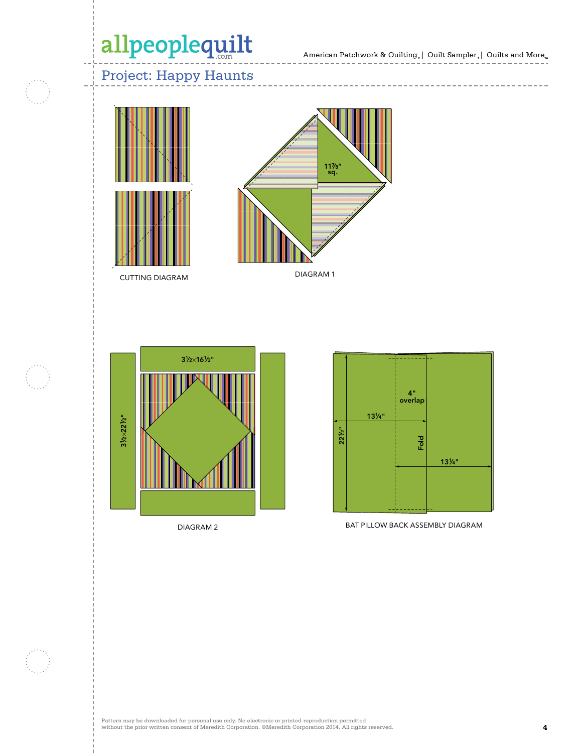American Patchwork & Quilting,  $|$  Quilt Sampler,  $|$  Quilts and More $_{\textrm{\tiny{m}}}$ 

## Project: Happy Haunts



CUTTING DIAGRAM



---------------

DIAGRAM 1



DIAGRAM 2



BAT PILLOW BACK ASSEMBLY DIAGRAM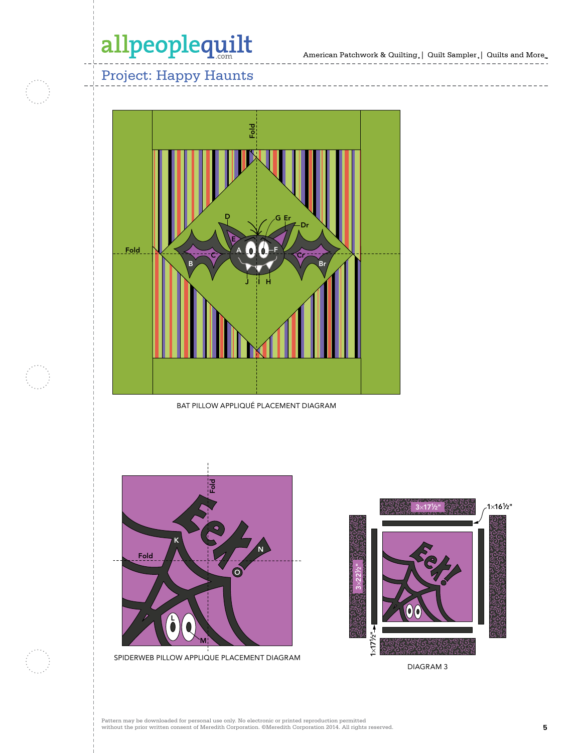American Patchwork & Quilting,  $|$  Quilt Sampler,  $|$  Quilts and More $_{\textrm{\tiny{m}}}$ 

-----------------

------------

## Project: Happy Haunts



BAT PILLOW APPLIQUÉ PLACEMENT DIAGRAM



 $3\times 221$ ⁄2"  $3\times 17^{1}$ ⁄2" 1×171 ⁄2" 1×161 ⁄2"

DIAGRAM 3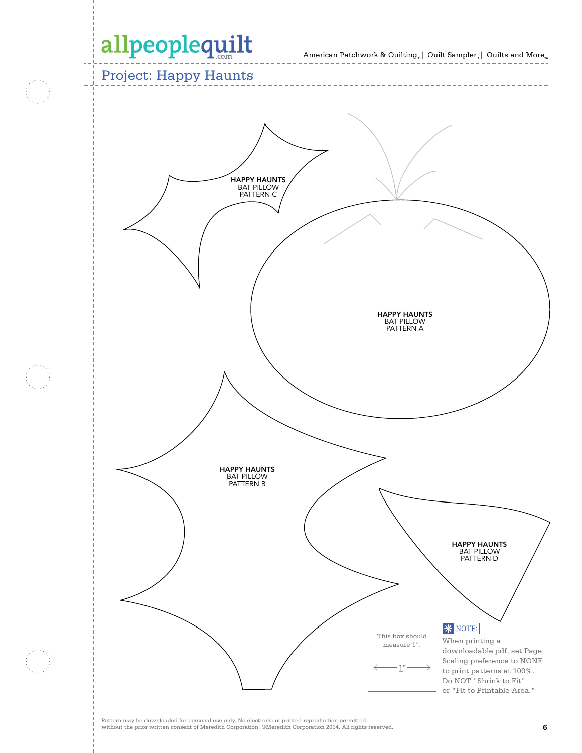American Patchwork & Quilting  $_{\circ} \vert \;$  Quilt Sampler  $_{\circ} \vert \;$  Quilts and More  $_{\circ} \;$ 

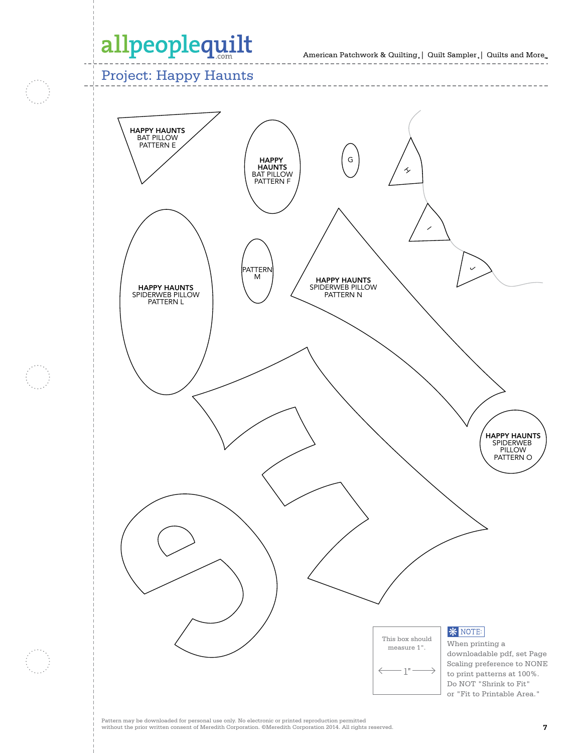American Patchwork & Quilting  $_{\circ} \vert \;$  Quilt Sampler  $_{\circ} \vert \;$  Quilts and More  $_{\circ} \;$ 

Project: Happy Haunts

HAPPY HAUNTS BAT PILLOW PATTERN F



Pattern may be downloaded for personal use only. No electronic or printed reproduction permitted without the prior written consent of Meredith Corporation. ©Meredith Corporation 2014. All rights reserved. **7**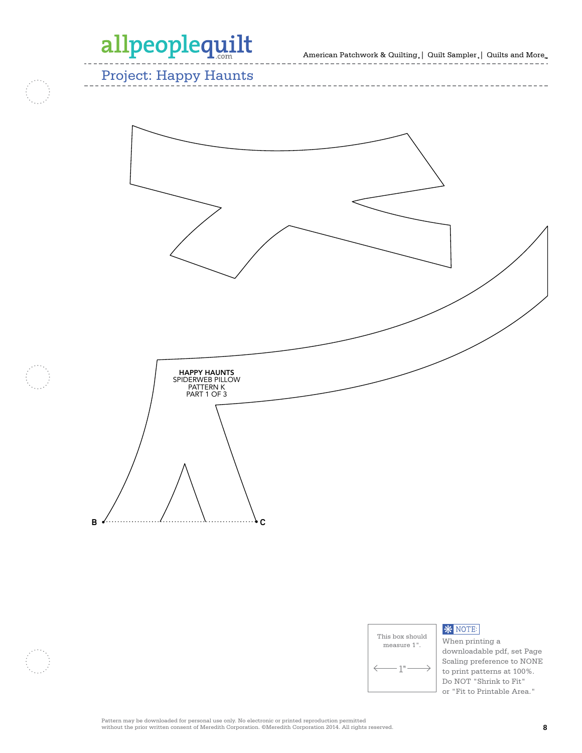American Patchwork & Quilting  $_{\circ} \vert \;$  Quilt Sampler  $_{\circ} \vert \;$  Quilts and More  $_{\circ} \;$ 

Project: Happy Haunts





### **\*** NOTE:

When printing a downloadable pdf, set Page Scaling preference to NONE to print patterns at 100%. Do NOT "Shrink to Fit" or "Fit to Printable Area."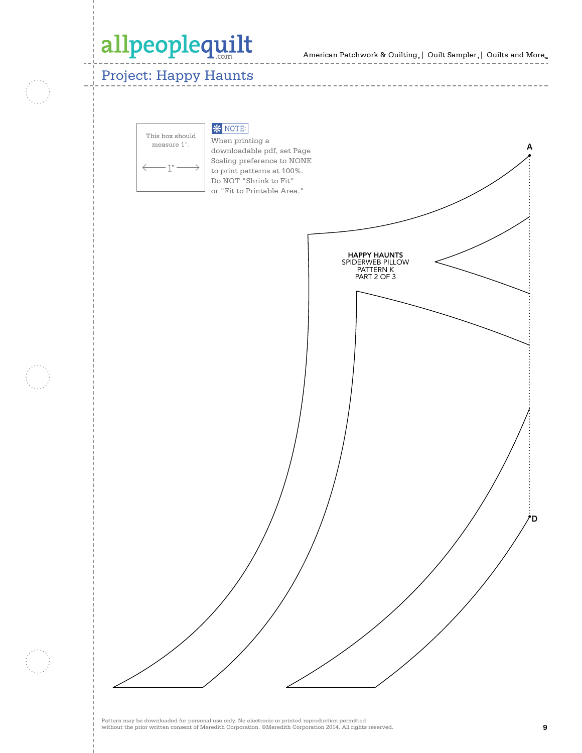American Patchwork & Quilting  $_{\circ} \vert \;$  Quilt Sampler  $_{\circ} \vert \;$  Quilts and More  $_{\circ} \;$ 

## Project: Happy Haunts